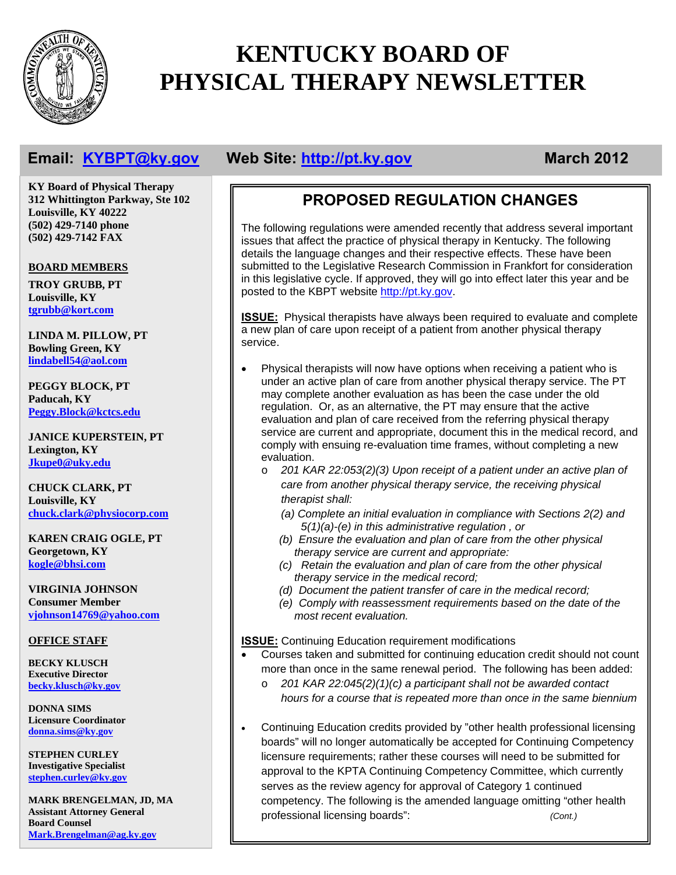

# **KENTUCKY BOARD OF PHYSICAL THERAPY NEWSLETTER**

**KY Board of Physical Therapy 312 Whittington Parkway, Ste 102 Louisville, KY 40222 (502) 429-7140 phone (502) 429-7142 FAX** 

### **BOARD MEMBERS**

**TROY GRUBB, PT Louisville, KY tgrubb@kort.com**

**LINDA M. PILLOW, PT Bowling Green, KY lindabell54@aol.com**

**PEGGY BLOCK, PT Paducah, KY Peggy.Block@kctcs.edu**

**JANICE KUPERSTEIN, PT Lexington, KY Jkupe0@uky.edu**

**CHUCK CLARK, PT Louisville, KY chuck.clark@physiocorp.com**

**KAREN CRAIG OGLE, PT Georgetown, KY kogle@bhsi.com**

**VIRGINIA JOHNSON Consumer Member vjohnson14769@yahoo.com**

### **OFFICE STAFF**

**BECKY KLUSCH Executive Director becky.klusch@ky.gov**

**DONNA SIMS Licensure Coordinator donna.sims@ky.gov**

**STEPHEN CURLEY Investigative Specialist stephen.curley@ky.gov**

**MARK BRENGELMAN, JD, MA Assistant Attorney General Board Counsel Mark.Brengelman@ag.ky.gov**

# **Email:** KYBPT@ky.gov Web Site: http://pt.ky.gov March 2012

# **PROPOSED REGULATION CHANGES**

The following regulations were amended recently that address several important issues that affect the practice of physical therapy in Kentucky. The following details the language changes and their respective effects. These have been submitted to the Legislative Research Commission in Frankfort for consideration in this legislative cycle. If approved, they will go into effect later this year and be posted to the KBPT website http://pt.ky.gov.

**ISSUE:** Physical therapists have always been required to evaluate and complete a new plan of care upon receipt of a patient from another physical therapy service.

- Physical therapists will now have options when receiving a patient who is under an active plan of care from another physical therapy service. The PT may complete another evaluation as has been the case under the old regulation. Or, as an alternative, the PT may ensure that the active evaluation and plan of care received from the referring physical therapy service are current and appropriate, document this in the medical record, and comply with ensuing re-evaluation time frames, without completing a new evaluation.
	- o *201 KAR 22:053(2)(3) Upon receipt of a patient under an active plan of care from another physical therapy service, the receiving physical therapist shall:* 
		- *(a) Complete an initial evaluation in compliance with Sections 2(2) and 5(1)(a)-(e) in this administrative regulation , or*
		- *(b) Ensure the evaluation and plan of care from the other physical therapy service are current and appropriate:*
		- *(c) Retain the evaluation and plan of care from the other physical therapy service in the medical record;*
		- *(d) Document the patient transfer of care in the medical record;*
		- *(e) Comply with reassessment requirements based on the date of the most recent evaluation.*

**ISSUE:** Continuing Education requirement modifications

- Courses taken and submitted for continuing education credit should not count more than once in the same renewal period. The following has been added:
	- o *201 KAR 22:045(2)(1)(c) a participant shall not be awarded contact hours for a course that is repeated more than once in the same biennium*
- Continuing Education credits provided by "other health professional licensing boards" will no longer automatically be accepted for Continuing Competency licensure requirements; rather these courses will need to be submitted for approval to the KPTA Continuing Competency Committee, which currently serves as the review agency for approval of Category 1 continued competency. The following is the amended language omitting "other health professional licensing boards": *(Cont.)*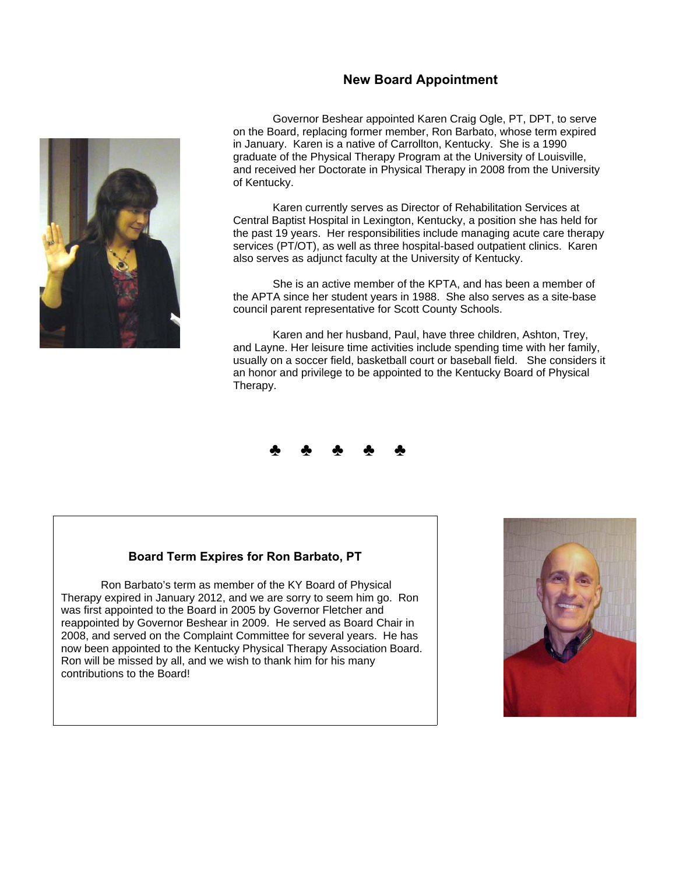### **New Board Appointment**



Governor Beshear appointed Karen Craig Ogle, PT, DPT, to serve on the Board, replacing former member, Ron Barbato, whose term expired in January. Karen is a native of Carrollton, Kentucky. She is a 1990 graduate of the Physical Therapy Program at the University of Louisville, and received her Doctorate in Physical Therapy in 2008 from the University of Kentucky.

 Karen currently serves as Director of Rehabilitation Services at Central Baptist Hospital in Lexington, Kentucky, a position she has held for the past 19 years. Her responsibilities include managing acute care therapy services (PT/OT), as well as three hospital-based outpatient clinics. Karen also serves as adjunct faculty at the University of Kentucky.

 She is an active member of the KPTA, and has been a member of the APTA since her student years in 1988. She also serves as a site-base council parent representative for Scott County Schools.

 Karen and her husband, Paul, have three children, Ashton, Trey, and Layne. Her leisure time activities include spending time with her family, usually on a soccer field, basketball court or baseball field. She considers it an honor and privilege to be appointed to the Kentucky Board of Physical Therapy.



### **Board Term Expires for Ron Barbato, PT**

Ron Barbato's term as member of the KY Board of Physical Therapy expired in January 2012, and we are sorry to seem him go. Ron was first appointed to the Board in 2005 by Governor Fletcher and reappointed by Governor Beshear in 2009. He served as Board Chair in 2008, and served on the Complaint Committee for several years. He has now been appointed to the Kentucky Physical Therapy Association Board. Ron will be missed by all, and we wish to thank him for his many contributions to the Board!

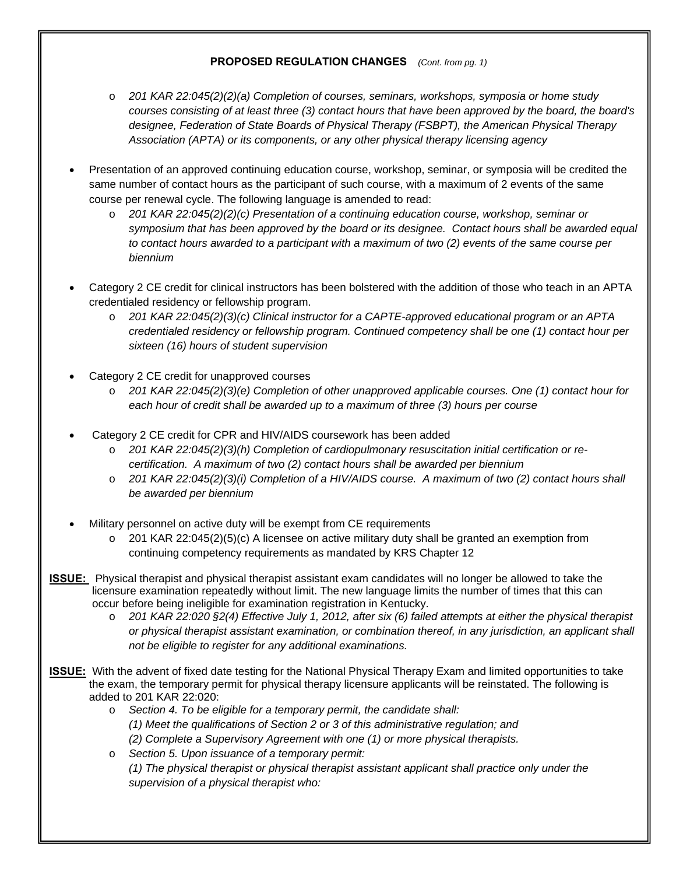### **PROPOSED REGULATION CHANGES** *(Cont. from pg. 1)*

- o *201 KAR 22:045(2)(2)(a) Completion of courses, seminars, workshops, symposia or home study courses consisting of at least three (3) contact hours that have been approved by the board, the board's designee, Federation of State Boards of Physical Therapy (FSBPT), the American Physical Therapy Association (APTA) or its components, or any other physical therapy licensing agency*
- Presentation of an approved continuing education course, workshop, seminar, or symposia will be credited the same number of contact hours as the participant of such course, with a maximum of 2 events of the same course per renewal cycle. The following language is amended to read:
	- o *201 KAR 22:045(2)(2)(c) Presentation of a continuing education course, workshop, seminar or symposium that has been approved by the board or its designee. Contact hours shall be awarded equal to contact hours awarded to a participant with a maximum of two (2) events of the same course per biennium*
- Category 2 CE credit for clinical instructors has been bolstered with the addition of those who teach in an APTA credentialed residency or fellowship program.
	- o *201 KAR 22:045(2)(3)(c) Clinical instructor for a CAPTE-approved educational program or an APTA credentialed residency or fellowship program. Continued competency shall be one (1) contact hour per sixteen (16) hours of student supervision*
- Category 2 CE credit for unapproved courses
	- o *201 KAR 22:045(2)(3)(e) Completion of other unapproved applicable courses. One (1) contact hour for each hour of credit shall be awarded up to a maximum of three (3) hours per course*
- Category 2 CE credit for CPR and HIV/AIDS coursework has been added
	- o *201 KAR 22:045(2)(3)(h) Completion of cardiopulmonary resuscitation initial certification or recertification. A maximum of two (2) contact hours shall be awarded per biennium*
	- o *201 KAR 22:045(2)(3)(i) Completion of a HIV/AIDS course. A maximum of two (2) contact hours shall be awarded per biennium*
- Military personnel on active duty will be exempt from CE requirements
	- $\circ$  201 KAR 22:045(2)(5)(c) A licensee on active military duty shall be granted an exemption from continuing competency requirements as mandated by KRS Chapter 12
- **ISSUE:** Physical therapist and physical therapist assistant exam candidates will no longer be allowed to take the licensure examination repeatedly without limit. The new language limits the number of times that this can occur before being ineligible for examination registration in Kentucky.
	- o *201 KAR 22:020 §2(4) Effective July 1, 2012, after six (6) failed attempts at either the physical therapist or physical therapist assistant examination, or combination thereof, in any jurisdiction, an applicant shall not be eligible to register for any additional examinations.*
- **ISSUE:** With the advent of fixed date testing for the National Physical Therapy Exam and limited opportunities to take the exam, the temporary permit for physical therapy licensure applicants will be reinstated. The following is added to 201 KAR 22:020:
	- o *Section 4. To be eligible for a temporary permit, the candidate shall: (1) Meet the qualifications of Section 2 or 3 of this administrative regulation; and (2) Complete a Supervisory Agreement with one (1) or more physical therapists.*
	- o *Section 5. Upon issuance of a temporary permit: (1) The physical therapist or physical therapist assistant applicant shall practice only under the supervision of a physical therapist who:*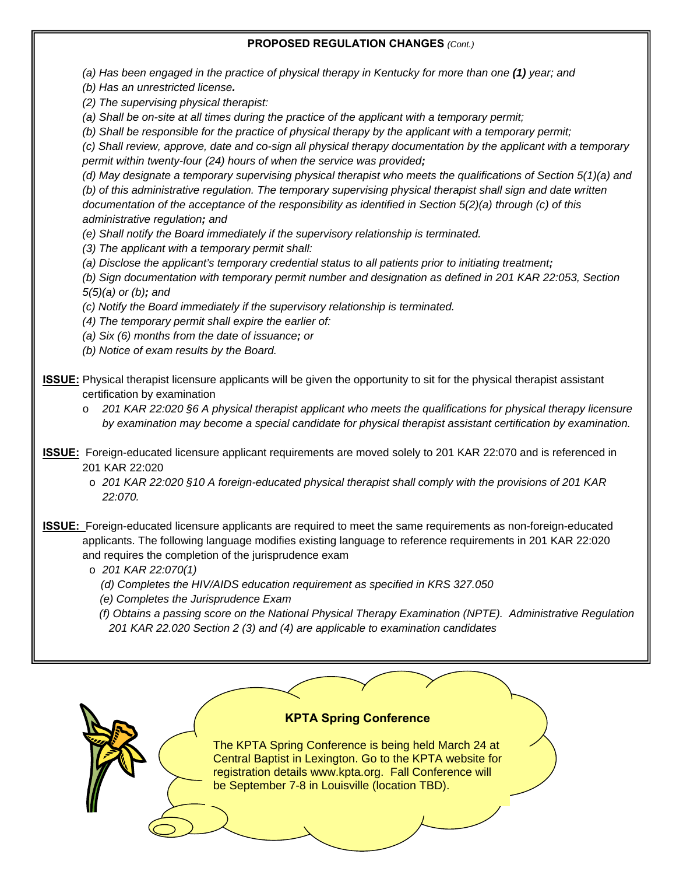#### **PROPOSED REGULATION CHANGES** *(Cont.)*

*(a) Has been engaged in the practice of physical therapy in Kentucky for more than one (1) year; and* 

*(b) Has an unrestricted license.* 

*(2) The supervising physical therapist:* 

*(a) Shall be on-site at all times during the practice of the applicant with a temporary permit;* 

*(b) Shall be responsible for the practice of physical therapy by the applicant with a temporary permit;* 

*(c) Shall review, approve, date and co-sign all physical therapy documentation by the applicant with a temporary permit within twenty-four (24) hours of when the service was provided;* 

*(d) May designate a temporary supervising physical therapist who meets the qualifications of Section 5(1)(a) and (b) of this administrative regulation. The temporary supervising physical therapist shall sign and date written documentation of the acceptance of the responsibility as identified in Section 5(2)(a) through (c) of this administrative regulation; and* 

*(e) Shall notify the Board immediately if the supervisory relationship is terminated.* 

*(3) The applicant with a temporary permit shall:* 

*(a) Disclose the applicant's temporary credential status to all patients prior to initiating treatment;* 

*(b) Sign documentation with temporary permit number and designation as defined in 201 KAR 22:053, Section 5(5)(a) or (b); and* 

*(c) Notify the Board immediately if the supervisory relationship is terminated.* 

*(4) The temporary permit shall expire the earlier of:* 

*(a) Six (6) months from the date of issuance; or* 

*(b) Notice of exam results by the Board.* 

**ISSUE:** Physical therapist licensure applicants will be given the opportunity to sit for the physical therapist assistant certification by examination

o *201 KAR 22:020 §6 A physical therapist applicant who meets the qualifications for physical therapy licensure by examination may become a special candidate for physical therapist assistant certification by examination.* 

- **ISSUE:** Foreign-educated licensure applicant requirements are moved solely to 201 KAR 22:070 and is referenced in 201 KAR 22:020
	- o *201 KAR 22:020 §10 A foreign-educated physical therapist shall comply with the provisions of 201 KAR 22:070.*

**ISSUE:** Foreign-educated licensure applicants are required to meet the same requirements as non-foreign-educated applicants. The following language modifies existing language to reference requirements in 201 KAR 22:020 and requires the completion of the jurisprudence exam

o *201 KAR 22:070(1)* 

- *(d) Completes the HIV/AIDS education requirement as specified in KRS 327.050*
- *(e) Completes the Jurisprudence Exam*

 *(f) Obtains a passing score on the National Physical Therapy Examination (NPTE). Administrative Regulation 201 KAR 22.020 Section 2 (3) and (4) are applicable to examination candidates* 

### **KPTA Spring Conference**

The KPTA Spring Conference is being held March 24 at Central Baptist in Lexington. Go to the KPTA website for registration details www.kpta.org. Fall Conference will be September 7-8 in Louisville (location TBD).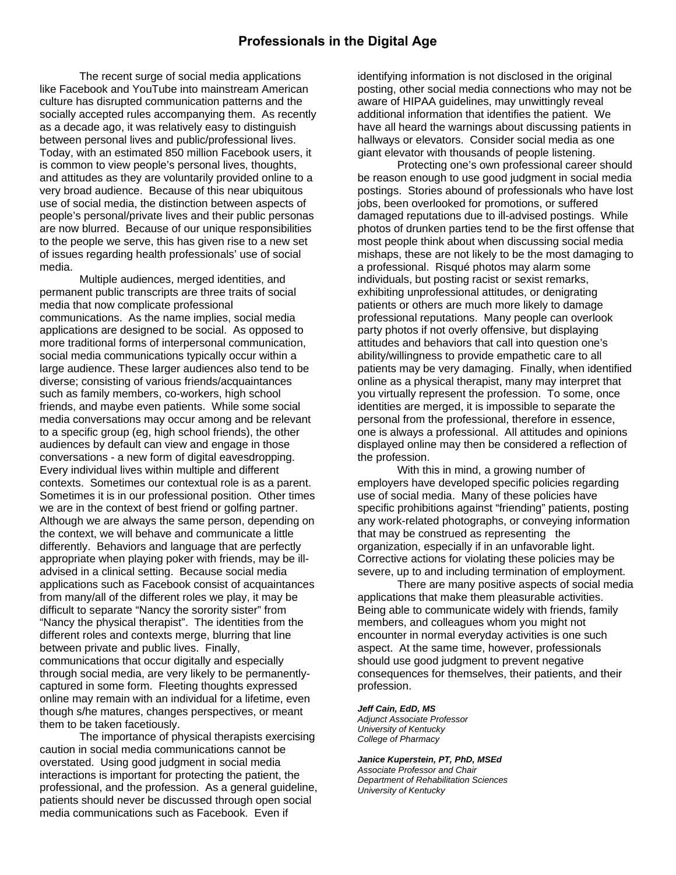### **Professionals in the Digital Age**

 The recent surge of social media applications like Facebook and YouTube into mainstream American culture has disrupted communication patterns and the socially accepted rules accompanying them. As recently as a decade ago, it was relatively easy to distinguish between personal lives and public/professional lives. Today, with an estimated 850 million Facebook users, it is common to view people's personal lives, thoughts, and attitudes as they are voluntarily provided online to a very broad audience. Because of this near ubiquitous use of social media, the distinction between aspects of people's personal/private lives and their public personas are now blurred. Because of our unique responsibilities to the people we serve, this has given rise to a new set of issues regarding health professionals' use of social media.

 Multiple audiences, merged identities, and permanent public transcripts are three traits of social media that now complicate professional communications. As the name implies, social media applications are designed to be social. As opposed to more traditional forms of interpersonal communication, social media communications typically occur within a large audience. These larger audiences also tend to be diverse; consisting of various friends/acquaintances such as family members, co-workers, high school friends, and maybe even patients. While some social media conversations may occur among and be relevant to a specific group (eg, high school friends), the other audiences by default can view and engage in those conversations - a new form of digital eavesdropping. Every individual lives within multiple and different contexts. Sometimes our contextual role is as a parent. Sometimes it is in our professional position. Other times we are in the context of best friend or golfing partner. Although we are always the same person, depending on the context, we will behave and communicate a little differently. Behaviors and language that are perfectly appropriate when playing poker with friends, may be illadvised in a clinical setting. Because social media applications such as Facebook consist of acquaintances from many/all of the different roles we play, it may be difficult to separate "Nancy the sorority sister" from "Nancy the physical therapist". The identities from the different roles and contexts merge, blurring that line between private and public lives. Finally, communications that occur digitally and especially through social media, are very likely to be permanentlycaptured in some form. Fleeting thoughts expressed online may remain with an individual for a lifetime, even though s/he matures, changes perspectives, or meant them to be taken facetiously.

 The importance of physical therapists exercising caution in social media communications cannot be overstated. Using good judgment in social media interactions is important for protecting the patient, the professional, and the profession. As a general guideline, patients should never be discussed through open social media communications such as Facebook. Even if

identifying information is not disclosed in the original posting, other social media connections who may not be aware of HIPAA guidelines, may unwittingly reveal additional information that identifies the patient. We have all heard the warnings about discussing patients in hallways or elevators. Consider social media as one giant elevator with thousands of people listening.

 Protecting one's own professional career should be reason enough to use good judgment in social media postings. Stories abound of professionals who have lost jobs, been overlooked for promotions, or suffered damaged reputations due to ill-advised postings. While photos of drunken parties tend to be the first offense that most people think about when discussing social media mishaps, these are not likely to be the most damaging to a professional. Risqué photos may alarm some individuals, but posting racist or sexist remarks, exhibiting unprofessional attitudes, or denigrating patients or others are much more likely to damage professional reputations. Many people can overlook party photos if not overly offensive, but displaying attitudes and behaviors that call into question one's ability/willingness to provide empathetic care to all patients may be very damaging. Finally, when identified online as a physical therapist, many may interpret that you virtually represent the profession. To some, once identities are merged, it is impossible to separate the personal from the professional, therefore in essence, one is always a professional. All attitudes and opinions displayed online may then be considered a reflection of the profession.

With this in mind, a growing number of employers have developed specific policies regarding use of social media. Many of these policies have specific prohibitions against "friending" patients, posting any work-related photographs, or conveying information that may be construed as representing the organization, especially if in an unfavorable light. Corrective actions for violating these policies may be severe, up to and including termination of employment.

 There are many positive aspects of social media applications that make them pleasurable activities. Being able to communicate widely with friends, family members, and colleagues whom you might not encounter in normal everyday activities is one such aspect. At the same time, however, professionals should use good judgment to prevent negative consequences for themselves, their patients, and their profession.

#### *Jeff Cain, EdD, MS*

*Adjunct Associate Professor University of Kentucky College of Pharmacy* 

#### *Janice Kuperstein, PT, PhD, MSEd*

*Associate Professor and Chair Department of Rehabilitation Sciences University of Kentucky*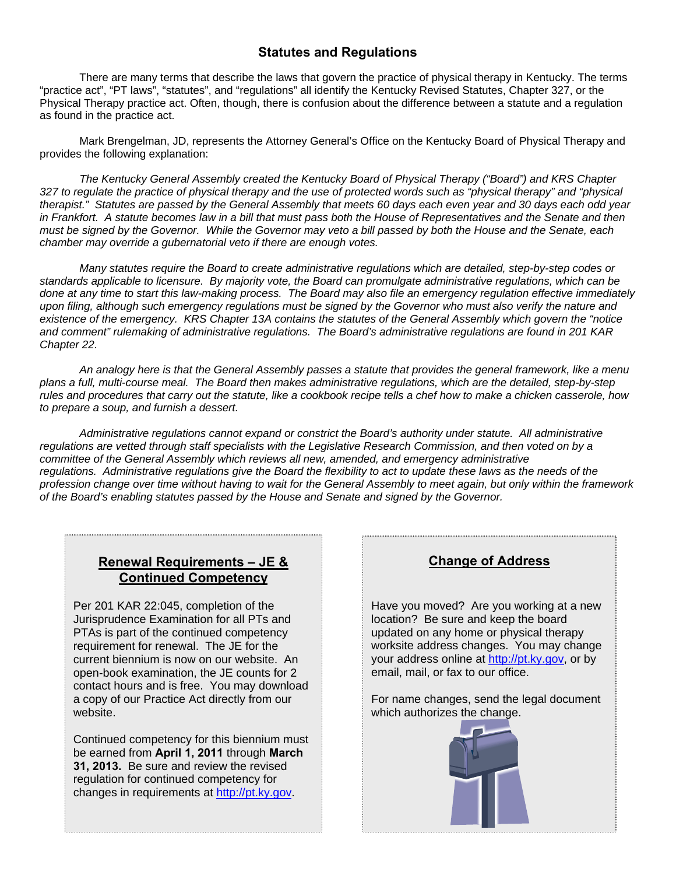## **Statutes and Regulations**

 There are many terms that describe the laws that govern the practice of physical therapy in Kentucky. The terms "practice act", "PT laws", "statutes", and "regulations" all identify the Kentucky Revised Statutes, Chapter 327, or the Physical Therapy practice act. Often, though, there is confusion about the difference between a statute and a regulation as found in the practice act.

 Mark Brengelman, JD, represents the Attorney General's Office on the Kentucky Board of Physical Therapy and provides the following explanation:

 *The Kentucky General Assembly created the Kentucky Board of Physical Therapy ("Board") and KRS Chapter 327 to regulate the practice of physical therapy and the use of protected words such as "physical therapy" and "physical therapist." Statutes are passed by the General Assembly that meets 60 days each even year and 30 days each odd year in Frankfort. A statute becomes law in a bill that must pass both the House of Representatives and the Senate and then must be signed by the Governor. While the Governor may veto a bill passed by both the House and the Senate, each chamber may override a gubernatorial veto if there are enough votes.* 

 *Many statutes require the Board to create administrative regulations which are detailed, step-by-step codes or standards applicable to licensure. By majority vote, the Board can promulgate administrative regulations, which can be done at any time to start this law-making process. The Board may also file an emergency regulation effective immediately*  upon filing, although such emergency regulations must be signed by the Governor who must also verify the nature and *existence of the emergency. KRS Chapter 13A contains the statutes of the General Assembly which govern the "notice and comment" rulemaking of administrative regulations. The Board's administrative regulations are found in 201 KAR Chapter 22.* 

 *An analogy here is that the General Assembly passes a statute that provides the general framework, like a menu plans a full, multi-course meal. The Board then makes administrative regulations, which are the detailed, step-by-step rules and procedures that carry out the statute, like a cookbook recipe tells a chef how to make a chicken casserole, how to prepare a soup, and furnish a dessert.* 

 *Administrative regulations cannot expand or constrict the Board's authority under statute. All administrative regulations are vetted through staff specialists with the Legislative Research Commission, and then voted on by a committee of the General Assembly which reviews all new, amended, and emergency administrative*  regulations. Administrative regulations give the Board the flexibility to act to update these laws as the needs of the *profession change over time without having to wait for the General Assembly to meet again, but only within the framework of the Board's enabling statutes passed by the House and Senate and signed by the Governor.* 

### **Renewal Requirements – JE & Continued Competency**

Per 201 KAR 22:045, completion of the Jurisprudence Examination for all PTs and PTAs is part of the continued competency requirement for renewal. The JE for the current biennium is now on our website. An open-book examination, the JE counts for 2 contact hours and is free. You may download a copy of our Practice Act directly from our website.

Continued competency for this biennium must be earned from **April 1, 2011** through **March 31, 2013.** Be sure and review the revised regulation for continued competency for changes in requirements at http://pt.ky.gov.

# **Change of Address**

Have you moved? Are you working at a new location? Be sure and keep the board updated on any home or physical therapy worksite address changes. You may change your address online at http://pt.ky.gov, or by email, mail, or fax to our office.

For name changes, send the legal document which authorizes the change.

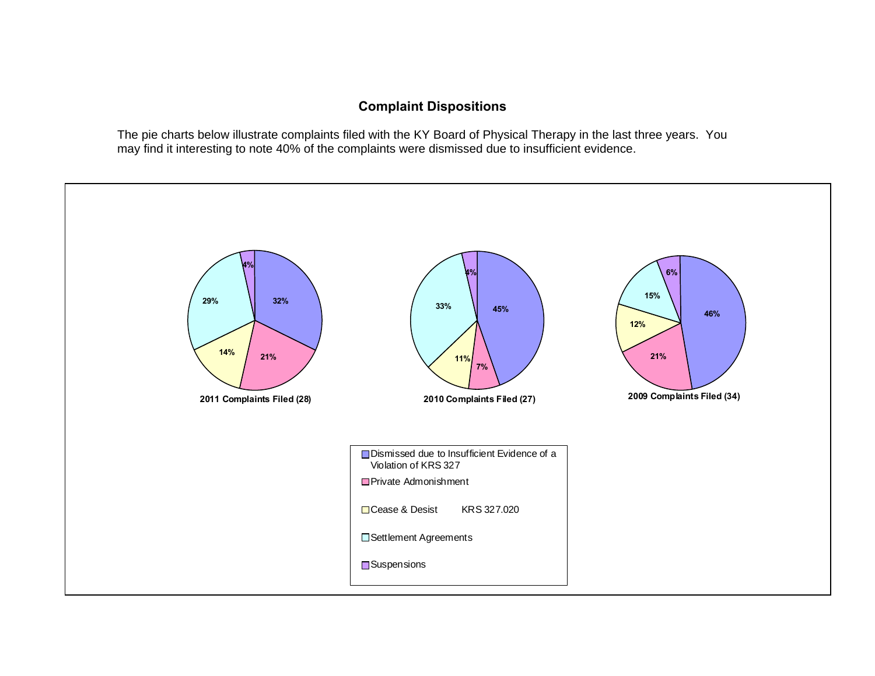# **Complaint Dispositions**

The pie charts below illustrate complaints filed with the KY Board of Physical Therapy in the last three years. You may find it interesting to note 40% of the complaints were dismissed due to insufficient evidence.

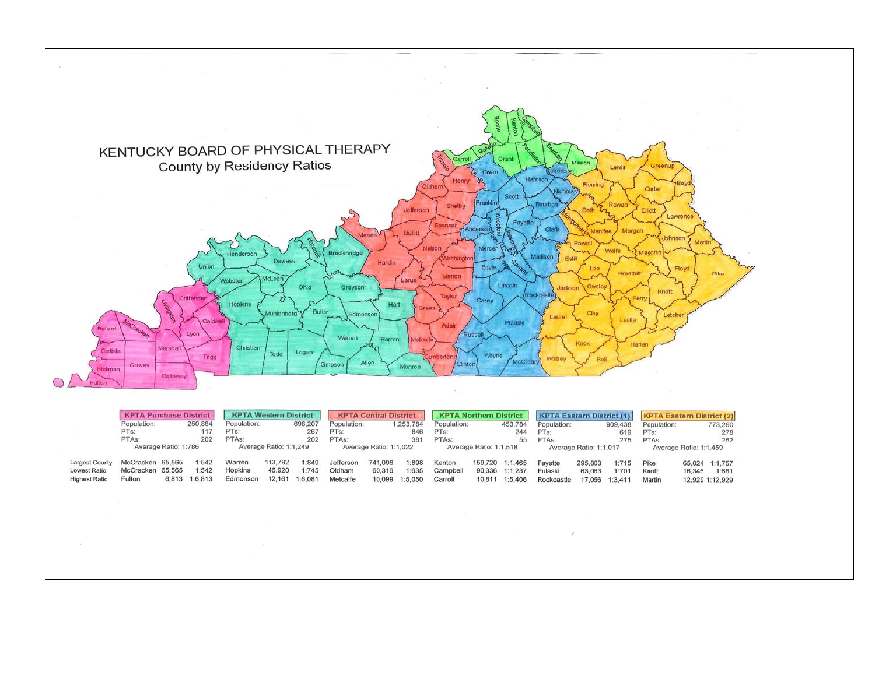

|                       | <b>KPTA Purchase District</b> |  |               | <b>KPTA Western District</b> |         |         | <b>KPTA Central District</b> |         |                          | <b>KPTA Northern District</b> |         |                 | <b>KPTA Eastern District (1)</b> |         |                | <b>KPTA Eastern District (2)</b> |        |                 |
|-----------------------|-------------------------------|--|---------------|------------------------------|---------|---------|------------------------------|---------|--------------------------|-------------------------------|---------|-----------------|----------------------------------|---------|----------------|----------------------------------|--------|-----------------|
|                       | Population:<br>250,864        |  |               | Population:                  |         | 698,207 | Population:                  |         | 1,253,784<br>Population: |                               | 453,784 |                 | Population:                      |         | 909,438        | Population:                      |        | 773,290         |
|                       | PTs:                          |  | 117           | PT <sub>s</sub> :            |         | 267     | PTs:                         |         | 846                      | PTs:                          |         | 244             | PTs:                             | 619     |                | PTs:                             |        | 278             |
|                       | PTAs:                         |  | 202           | PTA <sub>s</sub> :           |         | 202     | PTA <sub>s</sub> :           |         | 381                      | PTA <sub>s</sub> :            |         | 55              | PTA <sub>s</sub> :               |         | 275            | PTAs:                            |        | 252             |
|                       | Average Ratio: 1:786          |  |               | Average Ratio: 1:1.249       |         |         | Average Ratio: 1:1.022       |         |                          | Average Ratio: 1:1.518        |         |                 | Average Ratio: 1:1.017           |         |                | Average Ratio: 1:1.459           |        |                 |
| <b>Largest County</b> | McCracken 65,565              |  | 1:542         | Warren                       | 113,792 | 1:849   | Jefferson                    | 741.096 | 1:898                    | Kenton                        |         | 159,720 1:1,465 | Favette                          | 295,803 | 1:715          | Pike                             |        | 65.024 1:1.757  |
| Lowest Ratio          | McCracken 65,565              |  | 1:542         | Hopkins                      | 46,920  | 1:745   | Oldham                       | 60,316  | 1:635                    | Campbell                      | 90,336  | 1:1.237         | Pulaski                          | 63,063  | 1:701          | Knott                            | 16,346 | 1:681           |
| <b>Highest Ratio</b>  | Fulton                        |  | 6.813 1:6.813 | Edmonson                     | 12.161  | 1:6,081 | Metcalfe                     |         | 10.099 1:5.050           | Carroll                       | 10,811  | 1:5,406         | Rockcastle                       |         | 17.056 1:3.411 | Martin                           |        | 12,929 1:12,929 |

 $\mathcal{S}$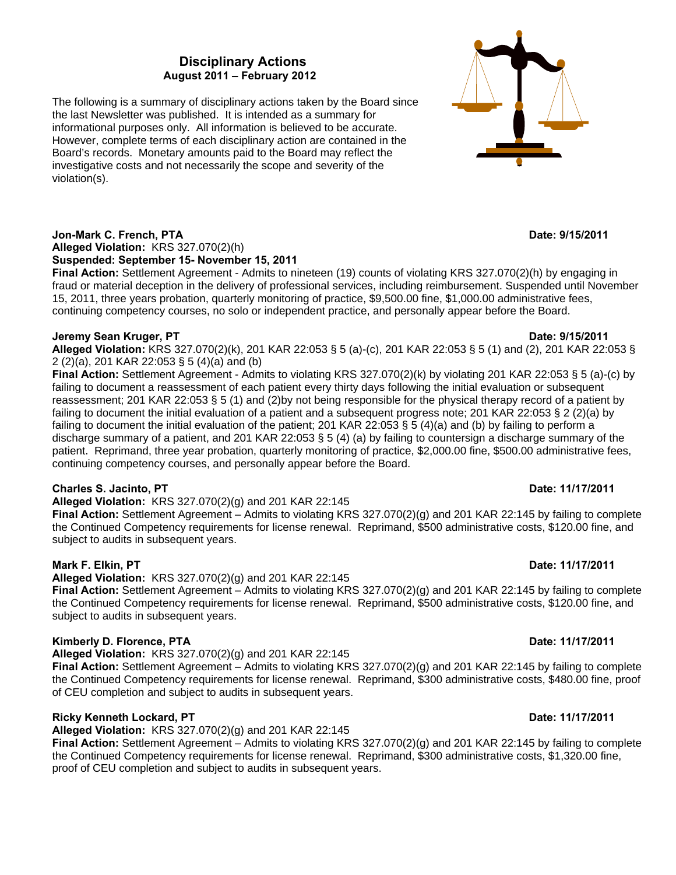### **Disciplinary Actions August 2011 – February 2012**

The following is a summary of disciplinary actions taken by the Board since the last Newsletter was published. It is intended as a summary for informational purposes only. All information is believed to be accurate. However, complete terms of each disciplinary action are contained in the Board's records. Monetary amounts paid to the Board may reflect the investigative costs and not necessarily the scope and severity of the violation(s).

**Jon-Mark C. French, PTA** Date: 9/15/2011 **Date: 9/15/2011** 

#### **Alleged Violation:** KRS 327.070(2)(h) **Suspended: September 15- November 15, 2011**

**Final Action:** Settlement Agreement - Admits to nineteen (19) counts of violating KRS 327.070(2)(h) by engaging in fraud or material deception in the delivery of professional services, including reimbursement. Suspended until November 15, 2011, three years probation, quarterly monitoring of practice, \$9,500.00 fine, \$1,000.00 administrative fees, continuing competency courses, no solo or independent practice, and personally appear before the Board.

### **Jeremy Sean Kruger, PT**  $\overline{D}$  **Date: 9/15/2011**

**Alleged Violation:** KRS 327.070(2)(k), 201 KAR 22:053 § 5 (a)-(c), 201 KAR 22:053 § 5 (1) and (2), 201 KAR 22:053 § 2 (2)(a), 201 KAR 22:053 § 5 (4)(a) and (b)

**Final Action:** Settlement Agreement - Admits to violating KRS 327.070(2)(k) by violating 201 KAR 22:053 § 5 (a)-(c) by failing to document a reassessment of each patient every thirty days following the initial evaluation or subsequent reassessment; 201 KAR 22:053 § 5 (1) and (2)by not being responsible for the physical therapy record of a patient by failing to document the initial evaluation of a patient and a subsequent progress note; 201 KAR 22:053 § 2 (2)(a) by failing to document the initial evaluation of the patient; 201 KAR 22:053 § 5 (4)(a) and (b) by failing to perform a discharge summary of a patient, and 201 KAR 22:053 § 5 (4) (a) by failing to countersign a discharge summary of the patient. Reprimand, three year probation, quarterly monitoring of practice, \$2,000.00 fine, \$500.00 administrative fees, continuing competency courses, and personally appear before the Board.

### **Charles S. Jacinto. PT**  $D = 1/17/2011$  **Date: 11/17/2011**

**Alleged Violation:** KRS 327.070(2)(g) and 201 KAR 22:145

**Final Action:** Settlement Agreement – Admits to violating KRS 327.070(2)(g) and 201 KAR 22:145 by failing to complete the Continued Competency requirements for license renewal. Reprimand, \$500 administrative costs, \$120.00 fine, and subject to audits in subsequent years.

### **Mark F. Elkin, PT** Date: 11/17/2011 **Date: 11/17/2011**

**Alleged Violation:** KRS 327.070(2)(g) and 201 KAR 22:145

**Final Action:** Settlement Agreement – Admits to violating KRS 327.070(2)(g) and 201 KAR 22:145 by failing to complete the Continued Competency requirements for license renewal. Reprimand, \$500 administrative costs, \$120.00 fine, and subject to audits in subsequent years.

### **Kimberly D. Florence, PTA** Date: 11/17/2011

### **Alleged Violation:** KRS 327.070(2)(g) and 201 KAR 22:145

**Final Action:** Settlement Agreement – Admits to violating KRS 327.070(2)(g) and 201 KAR 22:145 by failing to complete the Continued Competency requirements for license renewal. Reprimand, \$300 administrative costs, \$480.00 fine, proof of CEU completion and subject to audits in subsequent years.

### **Ricky Kenneth Lockard, PT** 2001 **Date: 11/17/2011 Date: 11/17/2011**

**Alleged Violation:** KRS 327.070(2)(g) and 201 KAR 22:145

**Final Action:** Settlement Agreement – Admits to violating KRS 327.070(2)(g) and 201 KAR 22:145 by failing to complete the Continued Competency requirements for license renewal. Reprimand, \$300 administrative costs, \$1,320.00 fine, proof of CEU completion and subject to audits in subsequent years.